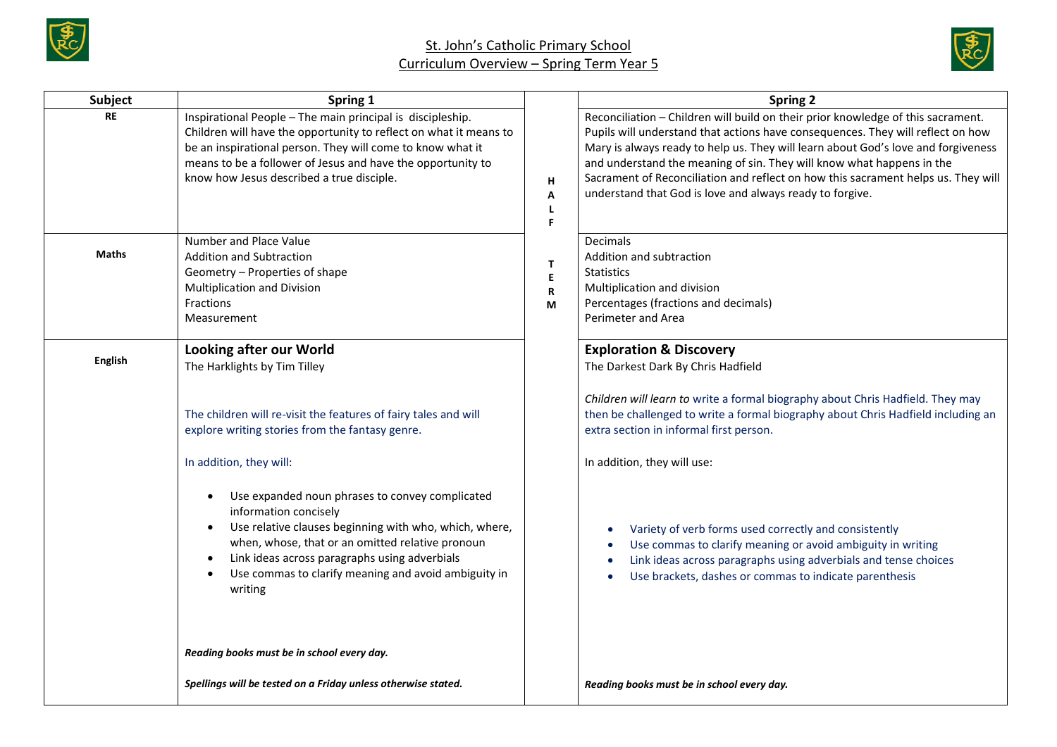



| Subject        | Spring 1                                                                                                                                                                                                                                                                                                                             |                    | <b>Spring 2</b>                                                                                                                                                                                                                                                                                                                                                                                                                                                                    |
|----------------|--------------------------------------------------------------------------------------------------------------------------------------------------------------------------------------------------------------------------------------------------------------------------------------------------------------------------------------|--------------------|------------------------------------------------------------------------------------------------------------------------------------------------------------------------------------------------------------------------------------------------------------------------------------------------------------------------------------------------------------------------------------------------------------------------------------------------------------------------------------|
| RE             | Inspirational People - The main principal is discipleship.<br>Children will have the opportunity to reflect on what it means to<br>be an inspirational person. They will come to know what it<br>means to be a follower of Jesus and have the opportunity to<br>know how Jesus described a true disciple.                            | H<br>A<br>L<br>F.  | Reconciliation - Children will build on their prior knowledge of this sacrament.<br>Pupils will understand that actions have consequences. They will reflect on how<br>Mary is always ready to help us. They will learn about God's love and forgiveness<br>and understand the meaning of sin. They will know what happens in the<br>Sacrament of Reconciliation and reflect on how this sacrament helps us. They will<br>understand that God is love and always ready to forgive. |
| <b>Maths</b>   | Number and Place Value<br><b>Addition and Subtraction</b><br>Geometry - Properties of shape<br>Multiplication and Division<br>Fractions<br>Measurement                                                                                                                                                                               | T.<br>E.<br>R<br>М | <b>Decimals</b><br>Addition and subtraction<br><b>Statistics</b><br>Multiplication and division<br>Percentages (fractions and decimals)<br>Perimeter and Area                                                                                                                                                                                                                                                                                                                      |
| <b>English</b> | <b>Looking after our World</b><br>The Harklights by Tim Tilley                                                                                                                                                                                                                                                                       |                    | <b>Exploration &amp; Discovery</b><br>The Darkest Dark By Chris Hadfield<br>Children will learn to write a formal biography about Chris Hadfield. They may                                                                                                                                                                                                                                                                                                                         |
|                | The children will re-visit the features of fairy tales and will<br>explore writing stories from the fantasy genre.                                                                                                                                                                                                                   |                    | then be challenged to write a formal biography about Chris Hadfield including an<br>extra section in informal first person.                                                                                                                                                                                                                                                                                                                                                        |
|                | In addition, they will:                                                                                                                                                                                                                                                                                                              |                    | In addition, they will use:                                                                                                                                                                                                                                                                                                                                                                                                                                                        |
|                | Use expanded noun phrases to convey complicated<br>information concisely<br>Use relative clauses beginning with who, which, where,<br>$\bullet$<br>when, whose, that or an omitted relative pronoun<br>Link ideas across paragraphs using adverbials<br>$\bullet$<br>Use commas to clarify meaning and avoid ambiguity in<br>writing |                    | Variety of verb forms used correctly and consistently<br>Use commas to clarify meaning or avoid ambiguity in writing<br>Link ideas across paragraphs using adverbials and tense choices<br>$\bullet$<br>Use brackets, dashes or commas to indicate parenthesis                                                                                                                                                                                                                     |
|                | Reading books must be in school every day.                                                                                                                                                                                                                                                                                           |                    |                                                                                                                                                                                                                                                                                                                                                                                                                                                                                    |
|                | Spellings will be tested on a Friday unless otherwise stated.                                                                                                                                                                                                                                                                        |                    | Reading books must be in school every day.                                                                                                                                                                                                                                                                                                                                                                                                                                         |